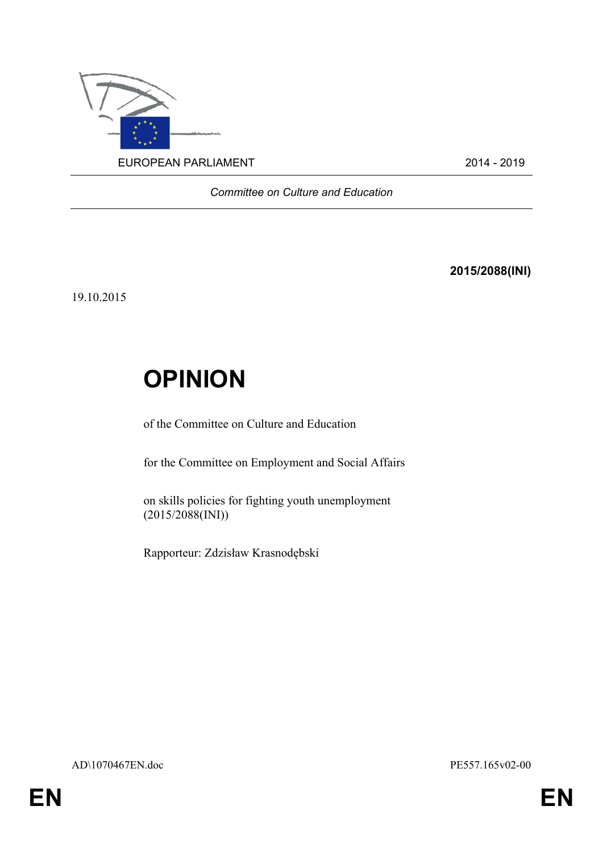

*Committee on Culture and Education*

**2015/2088(INI)**

19.10.2015

## **OPINION**

of the Committee on Culture and Education

for the Committee on Employment and Social Affairs

on skills policies for fighting youth unemployment (2015/2088(INI))

Rapporteur: Zdzisław Krasnodębski

AD\1070467EN.doc PE557.165v02-00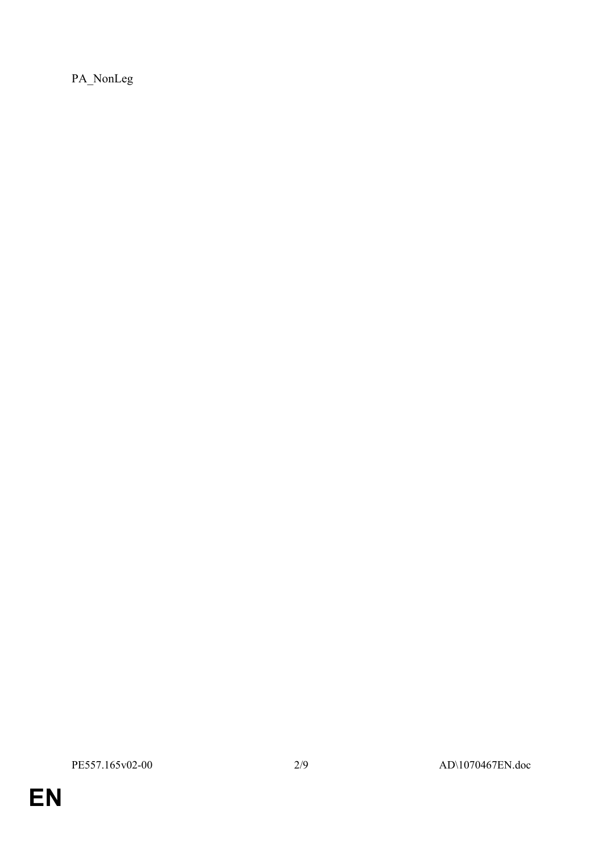PA\_NonLeg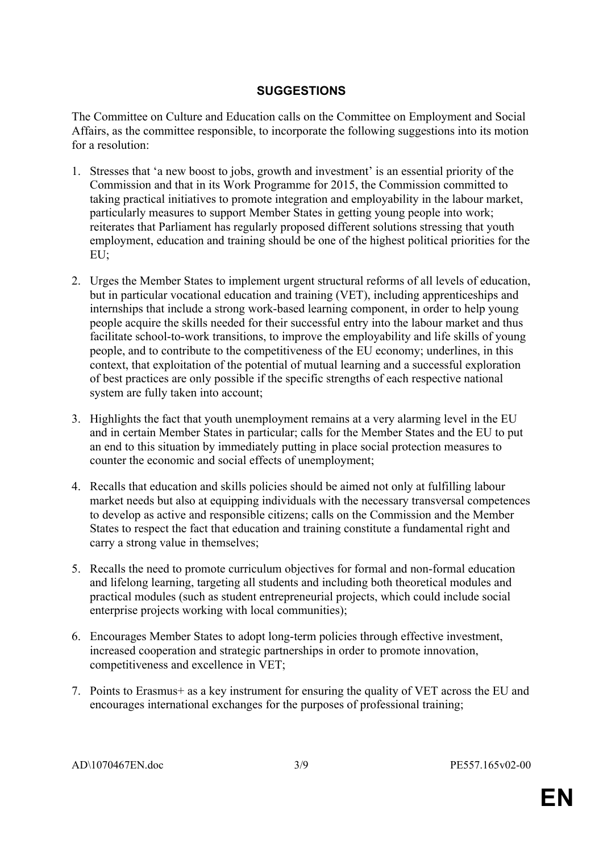## **SUGGESTIONS**

The Committee on Culture and Education calls on the Committee on Employment and Social Affairs, as the committee responsible, to incorporate the following suggestions into its motion for a resolution:

- 1. Stresses that 'a new boost to jobs, growth and investment' is an essential priority of the Commission and that in its Work Programme for 2015, the Commission committed to taking practical initiatives to promote integration and employability in the labour market, particularly measures to support Member States in getting young people into work; reiterates that Parliament has regularly proposed different solutions stressing that youth employment, education and training should be one of the highest political priorities for the EU;
- 2. Urges the Member States to implement urgent structural reforms of all levels of education, but in particular vocational education and training (VET), including apprenticeships and internships that include a strong work-based learning component, in order to help young people acquire the skills needed for their successful entry into the labour market and thus facilitate school-to-work transitions, to improve the employability and life skills of young people, and to contribute to the competitiveness of the EU economy; underlines, in this context, that exploitation of the potential of mutual learning and a successful exploration of best practices are only possible if the specific strengths of each respective national system are fully taken into account;
- 3. Highlights the fact that youth unemployment remains at a very alarming level in the EU and in certain Member States in particular; calls for the Member States and the EU to put an end to this situation by immediately putting in place social protection measures to counter the economic and social effects of unemployment;
- 4. Recalls that education and skills policies should be aimed not only at fulfilling labour market needs but also at equipping individuals with the necessary transversal competences to develop as active and responsible citizens; calls on the Commission and the Member States to respect the fact that education and training constitute a fundamental right and carry a strong value in themselves;
- 5. Recalls the need to promote curriculum objectives for formal and non-formal education and lifelong learning, targeting all students and including both theoretical modules and practical modules (such as student entrepreneurial projects, which could include social enterprise projects working with local communities);
- 6. Encourages Member States to adopt long-term policies through effective investment, increased cooperation and strategic partnerships in order to promote innovation, competitiveness and excellence in VET;
- 7. Points to Erasmus+ as a key instrument for ensuring the quality of VET across the EU and encourages international exchanges for the purposes of professional training;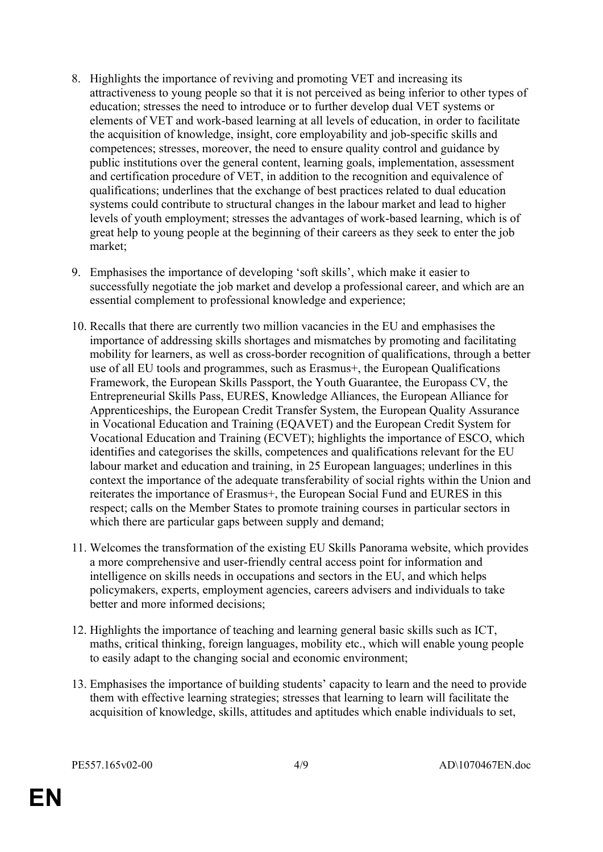- 8. Highlights the importance of reviving and promoting VET and increasing its attractiveness to young people so that it is not perceived as being inferior to other types of education; stresses the need to introduce or to further develop dual VET systems or elements of VET and work-based learning at all levels of education, in order to facilitate the acquisition of knowledge, insight, core employability and job-specific skills and competences; stresses, moreover, the need to ensure quality control and guidance by public institutions over the general content, learning goals, implementation, assessment and certification procedure of VET, in addition to the recognition and equivalence of qualifications; underlines that the exchange of best practices related to dual education systems could contribute to structural changes in the labour market and lead to higher levels of youth employment; stresses the advantages of work-based learning, which is of great help to young people at the beginning of their careers as they seek to enter the job market;
- 9. Emphasises the importance of developing 'soft skills', which make it easier to successfully negotiate the job market and develop a professional career, and which are an essential complement to professional knowledge and experience;
- 10. Recalls that there are currently two million vacancies in the EU and emphasises the importance of addressing skills shortages and mismatches by promoting and facilitating mobility for learners, as well as cross-border recognition of qualifications, through a better use of all EU tools and programmes, such as Erasmus+, the European Qualifications Framework, the European Skills Passport, the Youth Guarantee, the Europass CV, the Entrepreneurial Skills Pass, EURES, Knowledge Alliances, the European Alliance for Apprenticeships, the European Credit Transfer System, the European Quality Assurance in Vocational Education and Training (EQAVET) and the European Credit System for Vocational Education and Training (ECVET); highlights the importance of ESCO, which identifies and categorises the skills, competences and qualifications relevant for the EU labour market and education and training, in 25 European languages; underlines in this context the importance of the adequate transferability of social rights within the Union and reiterates the importance of Erasmus+, the European Social Fund and EURES in this respect; calls on the Member States to promote training courses in particular sectors in which there are particular gaps between supply and demand;
- 11. Welcomes the transformation of the existing EU Skills Panorama website, which provides a more comprehensive and user-friendly central access point for information and intelligence on skills needs in occupations and sectors in the EU, and which helps policymakers, experts, employment agencies, careers advisers and individuals to take better and more informed decisions;
- 12. Highlights the importance of teaching and learning general basic skills such as ICT, maths, critical thinking, foreign languages, mobility etc., which will enable young people to easily adapt to the changing social and economic environment;
- 13. Emphasises the importance of building students' capacity to learn and the need to provide them with effective learning strategies; stresses that learning to learn will facilitate the acquisition of knowledge, skills, attitudes and aptitudes which enable individuals to set,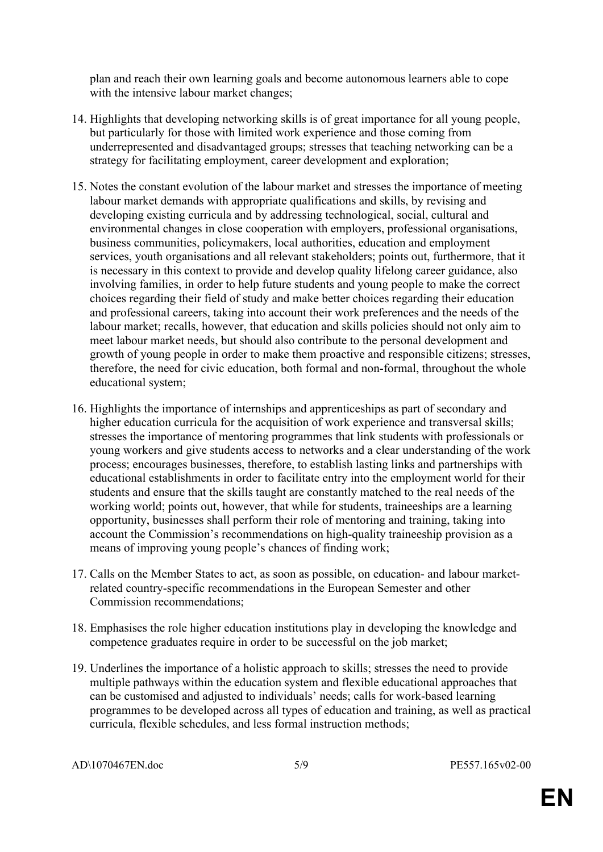plan and reach their own learning goals and become autonomous learners able to cope with the intensive labour market changes;

- 14. Highlights that developing networking skills is of great importance for all young people, but particularly for those with limited work experience and those coming from underrepresented and disadvantaged groups; stresses that teaching networking can be a strategy for facilitating employment, career development and exploration;
- 15. Notes the constant evolution of the labour market and stresses the importance of meeting labour market demands with appropriate qualifications and skills, by revising and developing existing curricula and by addressing technological, social, cultural and environmental changes in close cooperation with employers, professional organisations, business communities, policymakers, local authorities, education and employment services, youth organisations and all relevant stakeholders; points out, furthermore, that it is necessary in this context to provide and develop quality lifelong career guidance, also involving families, in order to help future students and young people to make the correct choices regarding their field of study and make better choices regarding their education and professional careers, taking into account their work preferences and the needs of the labour market; recalls, however, that education and skills policies should not only aim to meet labour market needs, but should also contribute to the personal development and growth of young people in order to make them proactive and responsible citizens; stresses, therefore, the need for civic education, both formal and non-formal, throughout the whole educational system;
- 16. Highlights the importance of internships and apprenticeships as part of secondary and higher education curricula for the acquisition of work experience and transversal skills; stresses the importance of mentoring programmes that link students with professionals or young workers and give students access to networks and a clear understanding of the work process; encourages businesses, therefore, to establish lasting links and partnerships with educational establishments in order to facilitate entry into the employment world for their students and ensure that the skills taught are constantly matched to the real needs of the working world; points out, however, that while for students, traineeships are a learning opportunity, businesses shall perform their role of mentoring and training, taking into account the Commission's recommendations on high-quality traineeship provision as a means of improving young people's chances of finding work;
- 17. Calls on the Member States to act, as soon as possible, on education- and labour marketrelated country-specific recommendations in the European Semester and other Commission recommendations;
- 18. Emphasises the role higher education institutions play in developing the knowledge and competence graduates require in order to be successful on the job market;
- 19. Underlines the importance of a holistic approach to skills; stresses the need to provide multiple pathways within the education system and flexible educational approaches that can be customised and adjusted to individuals' needs; calls for work-based learning programmes to be developed across all types of education and training, as well as practical curricula, flexible schedules, and less formal instruction methods;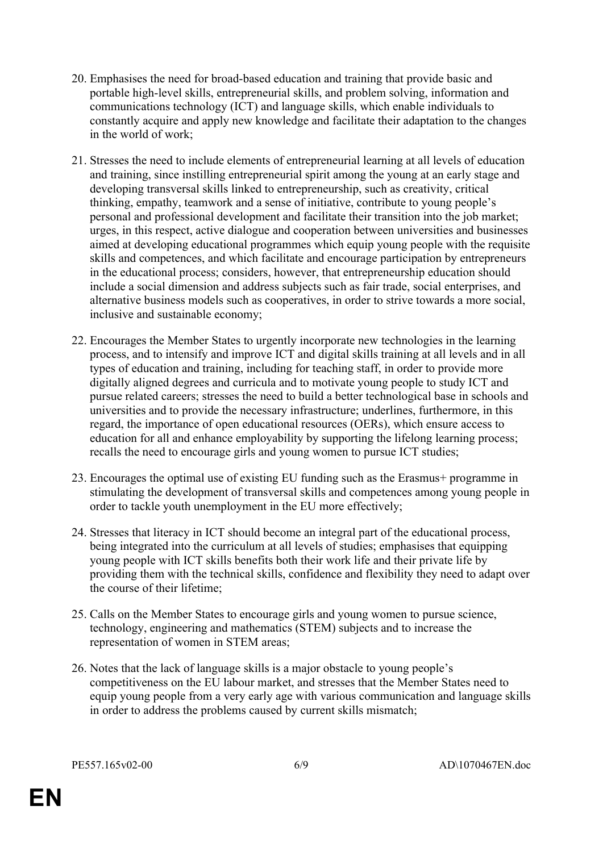- 20. Emphasises the need for broad-based education and training that provide basic and portable high-level skills, entrepreneurial skills, and problem solving, information and communications technology (ICT) and language skills, which enable individuals to constantly acquire and apply new knowledge and facilitate their adaptation to the changes in the world of work;
- 21. Stresses the need to include elements of entrepreneurial learning at all levels of education and training, since instilling entrepreneurial spirit among the young at an early stage and developing transversal skills linked to entrepreneurship, such as creativity, critical thinking, empathy, teamwork and a sense of initiative, contribute to young people's personal and professional development and facilitate their transition into the job market; urges, in this respect, active dialogue and cooperation between universities and businesses aimed at developing educational programmes which equip young people with the requisite skills and competences, and which facilitate and encourage participation by entrepreneurs in the educational process; considers, however, that entrepreneurship education should include a social dimension and address subjects such as fair trade, social enterprises, and alternative business models such as cooperatives, in order to strive towards a more social, inclusive and sustainable economy;
- 22. Encourages the Member States to urgently incorporate new technologies in the learning process, and to intensify and improve ICT and digital skills training at all levels and in all types of education and training, including for teaching staff, in order to provide more digitally aligned degrees and curricula and to motivate young people to study ICT and pursue related careers; stresses the need to build a better technological base in schools and universities and to provide the necessary infrastructure; underlines, furthermore, in this regard, the importance of open educational resources (OERs), which ensure access to education for all and enhance employability by supporting the lifelong learning process; recalls the need to encourage girls and young women to pursue ICT studies;
- 23. Encourages the optimal use of existing EU funding such as the Erasmus+ programme in stimulating the development of transversal skills and competences among young people in order to tackle youth unemployment in the EU more effectively;
- 24. Stresses that literacy in ICT should become an integral part of the educational process, being integrated into the curriculum at all levels of studies; emphasises that equipping young people with ICT skills benefits both their work life and their private life by providing them with the technical skills, confidence and flexibility they need to adapt over the course of their lifetime;
- 25. Calls on the Member States to encourage girls and young women to pursue science, technology, engineering and mathematics (STEM) subjects and to increase the representation of women in STEM areas;
- 26. Notes that the lack of language skills is a major obstacle to young people's competitiveness on the EU labour market, and stresses that the Member States need to equip young people from a very early age with various communication and language skills in order to address the problems caused by current skills mismatch;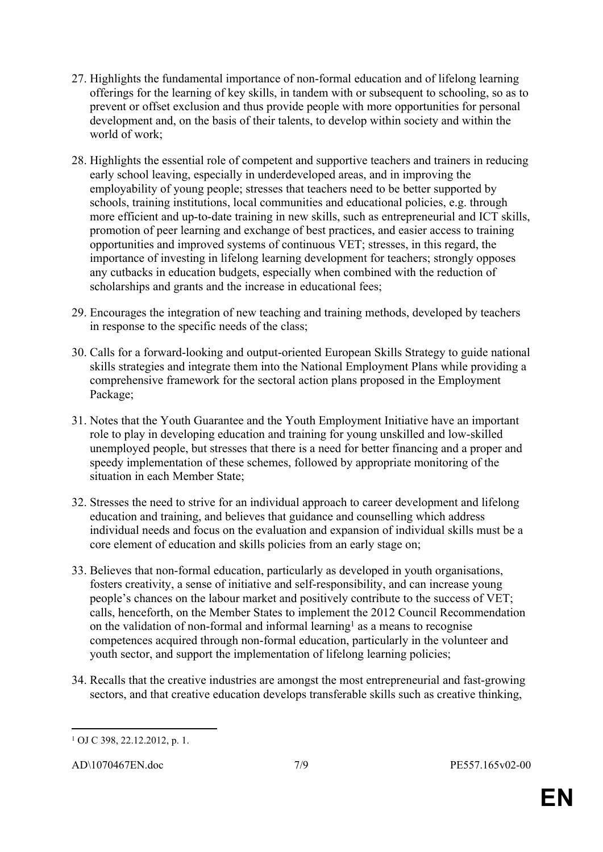- 27. Highlights the fundamental importance of non-formal education and of lifelong learning offerings for the learning of key skills, in tandem with or subsequent to schooling, so as to prevent or offset exclusion and thus provide people with more opportunities for personal development and, on the basis of their talents, to develop within society and within the world of work;
- 28. Highlights the essential role of competent and supportive teachers and trainers in reducing early school leaving, especially in underdeveloped areas, and in improving the employability of young people; stresses that teachers need to be better supported by schools, training institutions, local communities and educational policies, e.g. through more efficient and up-to-date training in new skills, such as entrepreneurial and ICT skills, promotion of peer learning and exchange of best practices, and easier access to training opportunities and improved systems of continuous VET; stresses, in this regard, the importance of investing in lifelong learning development for teachers; strongly opposes any cutbacks in education budgets, especially when combined with the reduction of scholarships and grants and the increase in educational fees;
- 29. Encourages the integration of new teaching and training methods, developed by teachers in response to the specific needs of the class;
- 30. Calls for a forward-looking and output-oriented European Skills Strategy to guide national skills strategies and integrate them into the National Employment Plans while providing a comprehensive framework for the sectoral action plans proposed in the Employment Package;
- 31. Notes that the Youth Guarantee and the Youth Employment Initiative have an important role to play in developing education and training for young unskilled and low-skilled unemployed people, but stresses that there is a need for better financing and a proper and speedy implementation of these schemes, followed by appropriate monitoring of the situation in each Member State;
- 32. Stresses the need to strive for an individual approach to career development and lifelong education and training, and believes that guidance and counselling which address individual needs and focus on the evaluation and expansion of individual skills must be a core element of education and skills policies from an early stage on;
- 33. Believes that non-formal education, particularly as developed in youth organisations, fosters creativity, a sense of initiative and self-responsibility, and can increase young people's chances on the labour market and positively contribute to the success of VET; calls, henceforth, on the Member States to implement the 2012 Council Recommendation on the validation of non-formal and informal learning<sup>1</sup> as a means to recognise competences acquired through non-formal education, particularly in the volunteer and youth sector, and support the implementation of lifelong learning policies;
- 34. Recalls that the creative industries are amongst the most entrepreneurial and fast-growing sectors, and that creative education develops transferable skills such as creative thinking,

<sup>1</sup> OJ C 398, 22.12.2012, p. 1.

AD\1070467EN.doc 7/9 PE557.165v02-00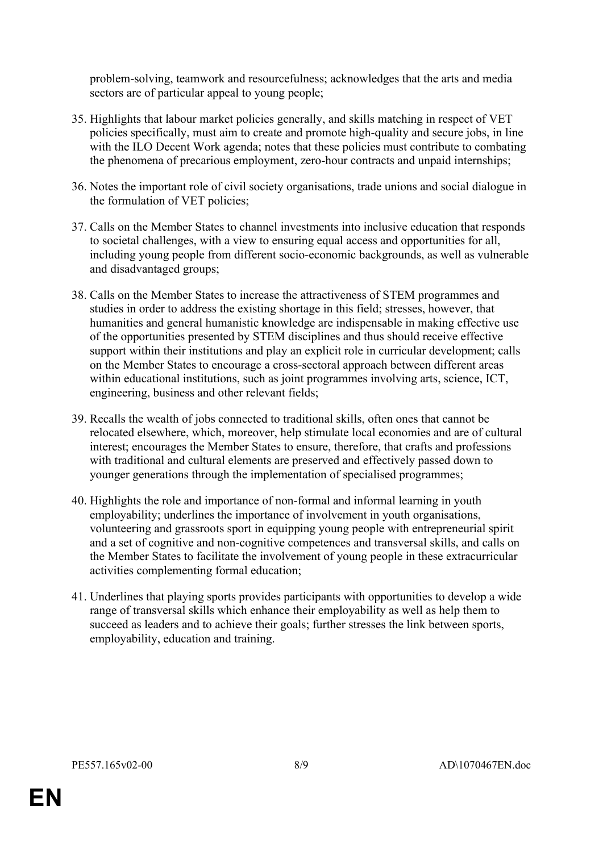problem-solving, teamwork and resourcefulness; acknowledges that the arts and media sectors are of particular appeal to young people;

- 35. Highlights that labour market policies generally, and skills matching in respect of VET policies specifically, must aim to create and promote high-quality and secure jobs, in line with the ILO Decent Work agenda; notes that these policies must contribute to combating the phenomena of precarious employment, zero-hour contracts and unpaid internships;
- 36. Notes the important role of civil society organisations, trade unions and social dialogue in the formulation of VET policies;
- 37. Calls on the Member States to channel investments into inclusive education that responds to societal challenges, with a view to ensuring equal access and opportunities for all, including young people from different socio-economic backgrounds, as well as vulnerable and disadvantaged groups;
- 38. Calls on the Member States to increase the attractiveness of STEM programmes and studies in order to address the existing shortage in this field; stresses, however, that humanities and general humanistic knowledge are indispensable in making effective use of the opportunities presented by STEM disciplines and thus should receive effective support within their institutions and play an explicit role in curricular development; calls on the Member States to encourage a cross-sectoral approach between different areas within educational institutions, such as joint programmes involving arts, science, ICT, engineering, business and other relevant fields;
- 39. Recalls the wealth of jobs connected to traditional skills, often ones that cannot be relocated elsewhere, which, moreover, help stimulate local economies and are of cultural interest; encourages the Member States to ensure, therefore, that crafts and professions with traditional and cultural elements are preserved and effectively passed down to younger generations through the implementation of specialised programmes;
- 40. Highlights the role and importance of non-formal and informal learning in youth employability; underlines the importance of involvement in youth organisations, volunteering and grassroots sport in equipping young people with entrepreneurial spirit and a set of cognitive and non-cognitive competences and transversal skills, and calls on the Member States to facilitate the involvement of young people in these extracurricular activities complementing formal education;
- 41. Underlines that playing sports provides participants with opportunities to develop a wide range of transversal skills which enhance their employability as well as help them to succeed as leaders and to achieve their goals; further stresses the link between sports, employability, education and training.